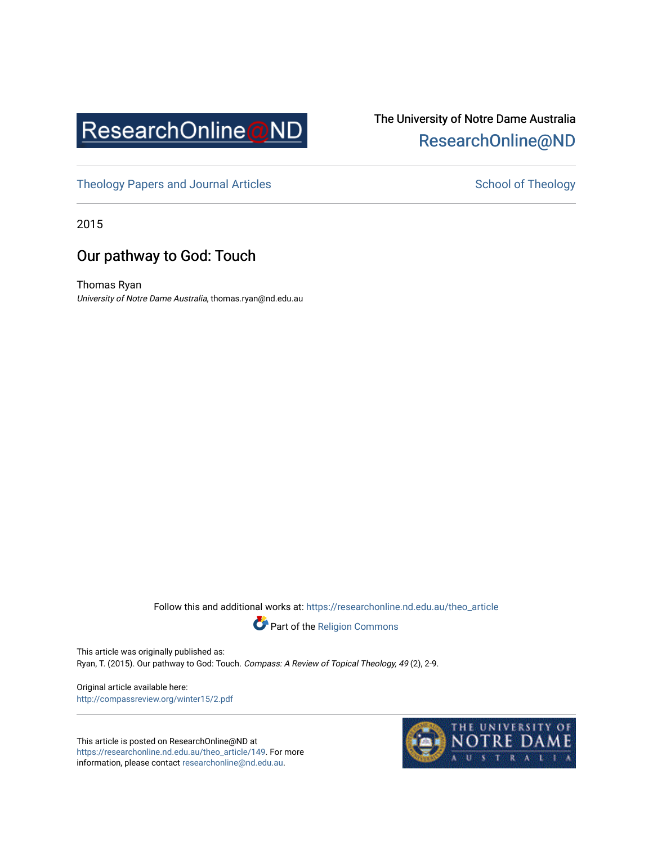

## The University of Notre Dame Australia [ResearchOnline@ND](https://researchonline.nd.edu.au/)

[Theology Papers and Journal Articles](https://researchonline.nd.edu.au/theo_article) and [School of Theology](https://researchonline.nd.edu.au/theo) School of Theology

2015

## Our pathway to God: Touch

Thomas Ryan University of Notre Dame Australia, thomas.ryan@nd.edu.au

Follow this and additional works at: [https://researchonline.nd.edu.au/theo\\_article](https://researchonline.nd.edu.au/theo_article?utm_source=researchonline.nd.edu.au%2Ftheo_article%2F149&utm_medium=PDF&utm_campaign=PDFCoverPages) 



This article was originally published as: Ryan, T. (2015). Our pathway to God: Touch. Compass: A Review of Topical Theology, 49 (2), 2-9.

Original article available here: <http://compassreview.org/winter15/2.pdf>

This article is posted on ResearchOnline@ND at [https://researchonline.nd.edu.au/theo\\_article/149](https://researchonline.nd.edu.au/theo_article/149). For more information, please contact [researchonline@nd.edu.au.](mailto:researchonline@nd.edu.au)

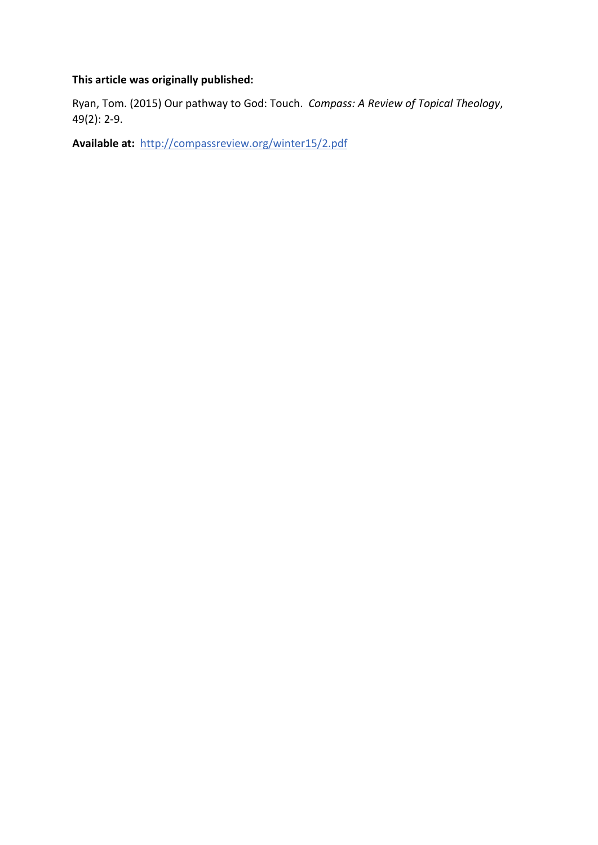### **This article was originally published:**

Ryan, Tom. (2015) Our pathway to God: Touch. *Compass: A Review of Topical Theology*, 49(2): 2-9.

**Available at:** http://compassreview.org/winter15/2.pdf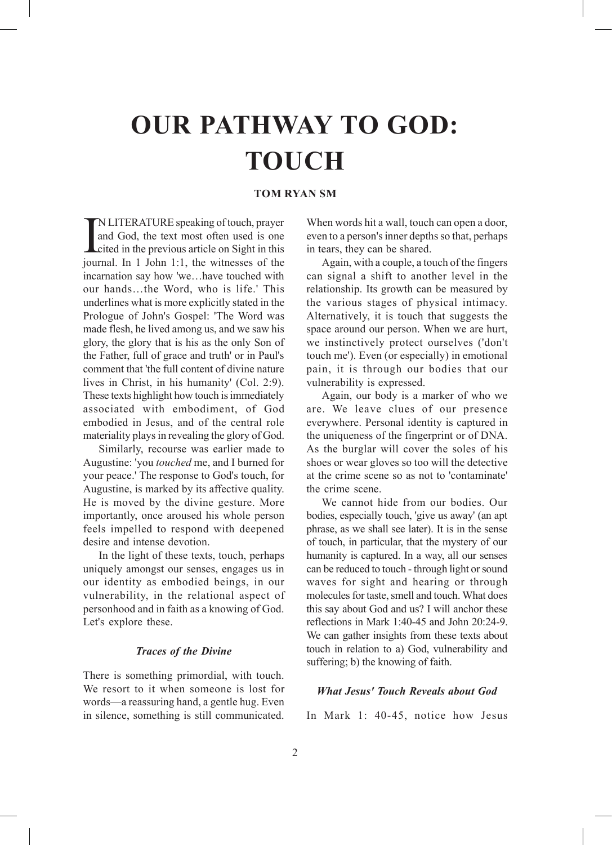# **OUR PATHWAY TO GOD: TOUCH**

#### **TOM RYAN SM**

**IN LITERATURE speaking of touch, prayer** and God, the text most often used is one cited in the previous article on Sight in this journal. In 1 John 1:1, the witnesses of the N LITERATURE speaking of touch, prayer and God, the text most often used is one cited in the previous article on Sight in this incarnation say how 'we…have touched with our hands…the Word, who is life.' This underlines what is more explicitly stated in the Prologue of John's Gospel: 'The Word was made flesh, he lived among us, and we saw his glory, the glory that is his as the only Son of the Father, full of grace and truth' or in Paul's comment that 'the full content of divine nature lives in Christ, in his humanity' (Col. 2:9). These texts highlight how touch is immediately associated with embodiment, of God embodied in Jesus, and of the central role materiality plays in revealing the glory of God.

Similarly, recourse was earlier made to Augustine: 'you *touched* me, and I burned for your peace.' The response to God's touch, for Augustine, is marked by its affective quality. He is moved by the divine gesture. More importantly, once aroused his whole person feels impelled to respond with deepened desire and intense devotion.

In the light of these texts, touch, perhaps uniquely amongst our senses, engages us in our identity as embodied beings, in our vulnerability, in the relational aspect of personhood and in faith as a knowing of God. Let's explore these.

#### *Traces of the Divine*

There is something primordial, with touch. We resort to it when someone is lost for words—a reassuring hand, a gentle hug. Even in silence, something is still communicated.

When words hit a wall, touch can open a door, even to a person's inner depths so that, perhaps in tears, they can be shared.

Again, with a couple, a touch of the fingers can signal a shift to another level in the relationship. Its growth can be measured by the various stages of physical intimacy. Alternatively, it is touch that suggests the space around our person. When we are hurt, we instinctively protect ourselves ('don't touch me'). Even (or especially) in emotional pain, it is through our bodies that our vulnerability is expressed.

Again, our body is a marker of who we are. We leave clues of our presence everywhere. Personal identity is captured in the uniqueness of the fingerprint or of DNA. As the burglar will cover the soles of his shoes or wear gloves so too will the detective at the crime scene so as not to 'contaminate' the crime scene.

We cannot hide from our bodies. Our bodies, especially touch, 'give us away' (an apt phrase, as we shall see later). It is in the sense of touch, in particular, that the mystery of our humanity is captured. In a way, all our senses can be reduced to touch - through light or sound waves for sight and hearing or through molecules for taste, smell and touch. What does this say about God and us? I will anchor these reflections in Mark 1:40-45 and John 20:24-9. We can gather insights from these texts about touch in relation to a) God, vulnerability and suffering; b) the knowing of faith.

#### *What Jesus' Touch Reveals about God*

In Mark 1: 40-45, notice how Jesus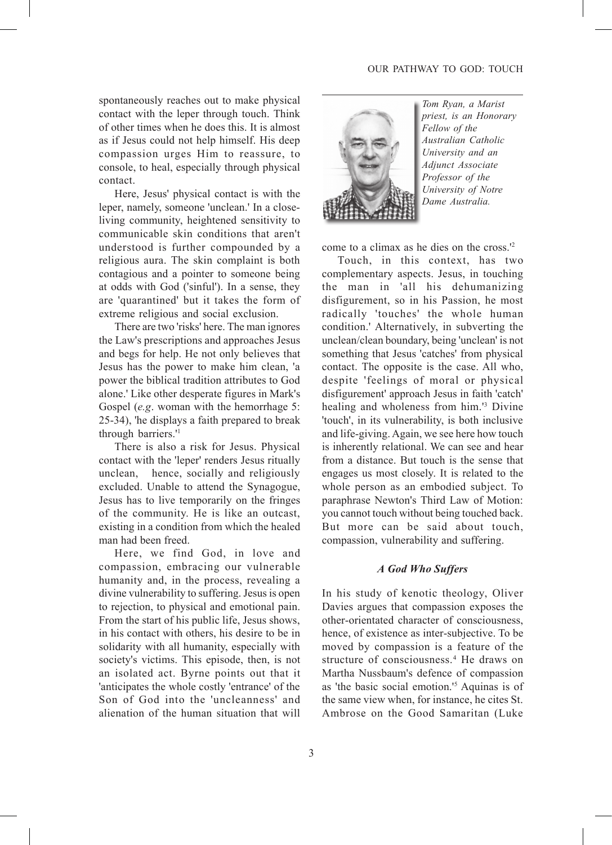spontaneously reaches out to make physical contact with the leper through touch. Think of other times when he does this. It is almost as if Jesus could not help himself. His deep compassion urges Him to reassure, to console, to heal, especially through physical contact.

Here, Jesus' physical contact is with the leper, namely, someone 'unclean.' In a closeliving community, heightened sensitivity to communicable skin conditions that aren't understood is further compounded by a religious aura. The skin complaint is both contagious and a pointer to someone being at odds with God ('sinful'). In a sense, they are 'quarantined' but it takes the form of extreme religious and social exclusion.

There are two 'risks' here. The man ignores the Law's prescriptions and approaches Jesus and begs for help. He not only believes that Jesus has the power to make him clean, 'a power the biblical tradition attributes to God alone.' Like other desperate figures in Mark's Gospel (*e.g*. woman with the hemorrhage 5: 25-34), 'he displays a faith prepared to break through barriers.'1

There is also a risk for Jesus. Physical contact with the 'leper' renders Jesus ritually unclean, hence, socially and religiously excluded. Unable to attend the Synagogue, Jesus has to live temporarily on the fringes of the community. He is like an outcast, existing in a condition from which the healed man had been freed.

Here, we find God, in love and compassion, embracing our vulnerable humanity and, in the process, revealing a divine vulnerability to suffering. Jesus is open to rejection, to physical and emotional pain. From the start of his public life, Jesus shows, in his contact with others, his desire to be in solidarity with all humanity, especially with society's victims. This episode, then, is not an isolated act. Byrne points out that it 'anticipates the whole costly 'entrance' of the Son of God into the 'uncleanness' and alienation of the human situation that will



*Tom Ryan, a Marist priest, is an Honorary Fellow of the Australian Catholic University and an Adjunct Associate Professor of the University of Notre Dame Australia.*

come to a climax as he dies on the cross.'2

Touch, in this context, has two complementary aspects. Jesus, in touching the man in 'all his dehumanizing disfigurement, so in his Passion, he most radically 'touches' the whole human condition.' Alternatively, in subverting the unclean/clean boundary, being 'unclean' is not something that Jesus 'catches' from physical contact. The opposite is the case. All who, despite 'feelings of moral or physical disfigurement' approach Jesus in faith 'catch' healing and wholeness from him.'3 Divine 'touch', in its vulnerability, is both inclusive and life-giving. Again, we see here how touch is inherently relational. We can see and hear from a distance. But touch is the sense that engages us most closely. It is related to the whole person as an embodied subject. To paraphrase Newton's Third Law of Motion: you cannot touch without being touched back. But more can be said about touch, compassion, vulnerability and suffering.

#### *A God Who Suffers*

In his study of kenotic theology, Oliver Davies argues that compassion exposes the other-orientated character of consciousness, hence, of existence as inter-subjective. To be moved by compassion is a feature of the structure of consciousness.<sup>4</sup> He draws on Martha Nussbaum's defence of compassion as 'the basic social emotion.'5 Aquinas is of the same view when, for instance, he cites St. Ambrose on the Good Samaritan (Luke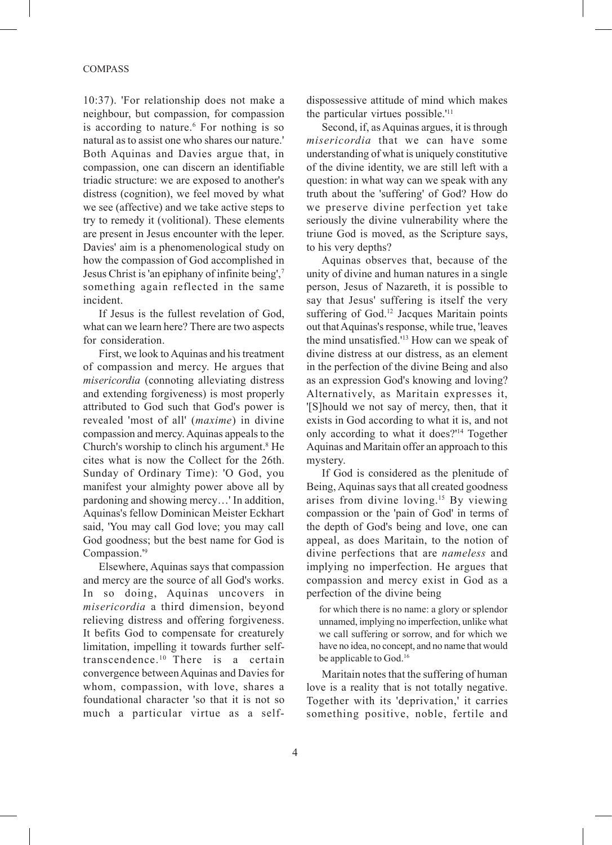10:37). 'For relationship does not make a neighbour, but compassion, for compassion is according to nature.<sup>6</sup> For nothing is so natural as to assist one who shares our nature.' Both Aquinas and Davies argue that, in compassion, one can discern an identifiable triadic structure: we are exposed to another's distress (cognition), we feel moved by what we see (affective) and we take active steps to try to remedy it (volitional). These elements are present in Jesus encounter with the leper. Davies' aim is a phenomenological study on how the compassion of God accomplished in Jesus Christ is 'an epiphany of infinite being',7 something again reflected in the same incident.

If Jesus is the fullest revelation of God, what can we learn here? There are two aspects for consideration.

First, we look to Aquinas and his treatment of compassion and mercy. He argues that *misericordia* (connoting alleviating distress and extending forgiveness) is most properly attributed to God such that God's power is revealed 'most of all' (*maxime*) in divine compassion and mercy. Aquinas appeals to the Church's worship to clinch his argument.<sup>8</sup> He cites what is now the Collect for the 26th. Sunday of Ordinary Time): 'O God, you manifest your almighty power above all by pardoning and showing mercy…' In addition, Aquinas's fellow Dominican Meister Eckhart said, 'You may call God love; you may call God goodness; but the best name for God is Compassion.'9

Elsewhere, Aquinas says that compassion and mercy are the source of all God's works. In so doing, Aquinas uncovers in *misericordia* a third dimension, beyond relieving distress and offering forgiveness. It befits God to compensate for creaturely limitation, impelling it towards further selftranscendence.10 There is a certain convergence between Aquinas and Davies for whom, compassion, with love, shares a foundational character 'so that it is not so much a particular virtue as a selfdispossessive attitude of mind which makes the particular virtues possible.'11

Second, if, as Aquinas argues, it is through *misericordia* that we can have some understanding of what is uniquely constitutive of the divine identity, we are still left with a question: in what way can we speak with any truth about the 'suffering' of God? How do we preserve divine perfection yet take seriously the divine vulnerability where the triune God is moved, as the Scripture says, to his very depths?

Aquinas observes that, because of the unity of divine and human natures in a single person, Jesus of Nazareth, it is possible to say that Jesus' suffering is itself the very suffering of God.<sup>12</sup> Jacques Maritain points out that Aquinas's response, while true, 'leaves the mind unsatisfied.'13 How can we speak of divine distress at our distress, as an element in the perfection of the divine Being and also as an expression God's knowing and loving? Alternatively, as Maritain expresses it, '[S]hould we not say of mercy, then, that it exists in God according to what it is, and not only according to what it does?'14 Together Aquinas and Maritain offer an approach to this mystery.

If God is considered as the plenitude of Being, Aquinas says that all created goodness arises from divine loving.15 By viewing compassion or the 'pain of God' in terms of the depth of God's being and love, one can appeal, as does Maritain, to the notion of divine perfections that are *nameless* and implying no imperfection. He argues that compassion and mercy exist in God as a perfection of the divine being

for which there is no name: a glory or splendor unnamed, implying no imperfection, unlike what we call suffering or sorrow, and for which we have no idea, no concept, and no name that would be applicable to God.<sup>16</sup>

Maritain notes that the suffering of human love is a reality that is not totally negative. Together with its 'deprivation,' it carries something positive, noble, fertile and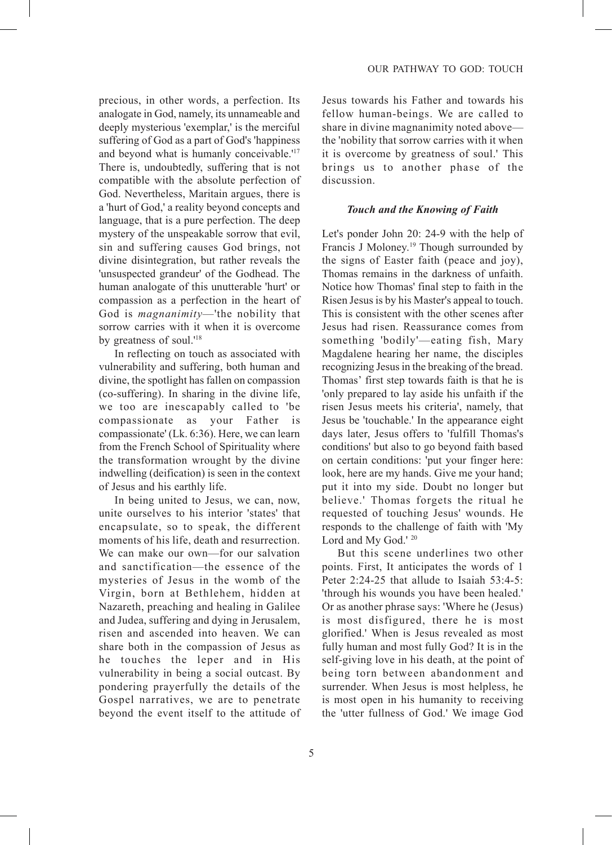precious, in other words, a perfection. Its analogate in God, namely, its unnameable and deeply mysterious 'exemplar,' is the merciful suffering of God as a part of God's 'happiness and beyond what is humanly conceivable.'17 There is, undoubtedly, suffering that is not compatible with the absolute perfection of God. Nevertheless, Maritain argues, there is a 'hurt of God,' a reality beyond concepts and language, that is a pure perfection. The deep mystery of the unspeakable sorrow that evil, sin and suffering causes God brings, not divine disintegration, but rather reveals the 'unsuspected grandeur' of the Godhead. The human analogate of this unutterable 'hurt' or compassion as a perfection in the heart of God is *magnanimity*—'the nobility that sorrow carries with it when it is overcome by greatness of soul.'18

In reflecting on touch as associated with vulnerability and suffering, both human and divine, the spotlight has fallen on compassion (co-suffering). In sharing in the divine life, we too are inescapably called to 'be compassionate as your Father is compassionate' (Lk. 6:36). Here, we can learn from the French School of Spirituality where the transformation wrought by the divine indwelling (deification) is seen in the context of Jesus and his earthly life.

In being united to Jesus, we can, now, unite ourselves to his interior 'states' that encapsulate, so to speak, the different moments of his life, death and resurrection. We can make our own—for our salvation and sanctification—the essence of the mysteries of Jesus in the womb of the Virgin, born at Bethlehem, hidden at Nazareth, preaching and healing in Galilee and Judea, suffering and dying in Jerusalem, risen and ascended into heaven. We can share both in the compassion of Jesus as he touches the leper and in His vulnerability in being a social outcast. By pondering prayerfully the details of the Gospel narratives, we are to penetrate beyond the event itself to the attitude of

Jesus towards his Father and towards his fellow human-beings. We are called to share in divine magnanimity noted above the 'nobility that sorrow carries with it when it is overcome by greatness of soul.' This brings us to another phase of the discussion.

#### *Touch and the Knowing of Faith*

Let's ponder John 20: 24-9 with the help of Francis J Moloney.19 Though surrounded by the signs of Easter faith (peace and joy), Thomas remains in the darkness of unfaith. Notice how Thomas' final step to faith in the Risen Jesus is by his Master's appeal to touch. This is consistent with the other scenes after Jesus had risen. Reassurance comes from something 'bodily'—eating fish, Mary Magdalene hearing her name, the disciples recognizing Jesus in the breaking of the bread. Thomas' first step towards faith is that he is 'only prepared to lay aside his unfaith if the risen Jesus meets his criteria', namely, that Jesus be 'touchable.' In the appearance eight days later, Jesus offers to 'fulfill Thomas's conditions' but also to go beyond faith based on certain conditions: 'put your finger here: look, here are my hands. Give me your hand; put it into my side. Doubt no longer but believe.' Thomas forgets the ritual he requested of touching Jesus' wounds. He responds to the challenge of faith with 'My Lord and My God.' <sup>20</sup>

But this scene underlines two other points. First, It anticipates the words of 1 Peter 2:24-25 that allude to Isaiah 53:4-5: 'through his wounds you have been healed.' Or as another phrase says: 'Where he (Jesus) is most disfigured, there he is most glorified.' When is Jesus revealed as most fully human and most fully God? It is in the self-giving love in his death, at the point of being torn between abandonment and surrender. When Jesus is most helpless, he is most open in his humanity to receiving the 'utter fullness of God.' We image God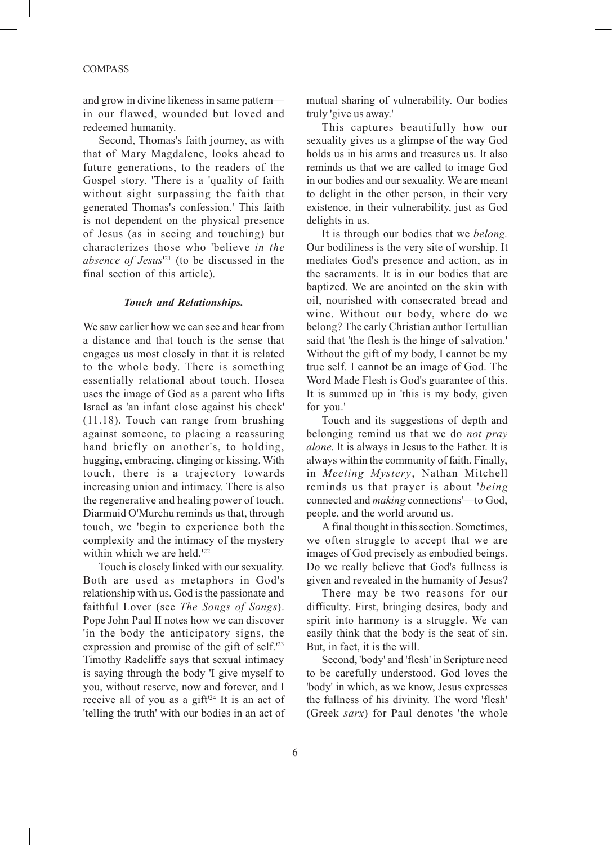#### **COMPASS**

and grow in divine likeness in same pattern in our flawed, wounded but loved and redeemed humanity.

Second, Thomas's faith journey, as with that of Mary Magdalene, looks ahead to future generations, to the readers of the Gospel story. 'There is a 'quality of faith without sight surpassing the faith that generated Thomas's confession.' This faith is not dependent on the physical presence of Jesus (as in seeing and touching) but characterizes those who 'believe *in the absence of Jesus*' 21 (to be discussed in the final section of this article).

#### *Touch and Relationships.*

We saw earlier how we can see and hear from a distance and that touch is the sense that engages us most closely in that it is related to the whole body. There is something essentially relational about touch. Hosea uses the image of God as a parent who lifts Israel as 'an infant close against his cheek' (11.18). Touch can range from brushing against someone, to placing a reassuring hand briefly on another's, to holding, hugging, embracing, clinging or kissing. With touch, there is a trajectory towards increasing union and intimacy. There is also the regenerative and healing power of touch. Diarmuid O'Murchu reminds us that, through touch, we 'begin to experience both the complexity and the intimacy of the mystery within which we are held.<sup>'22</sup>

Touch is closely linked with our sexuality. Both are used as metaphors in God's relationship with us. God is the passionate and faithful Lover (see *The Songs of Songs*). Pope John Paul II notes how we can discover 'in the body the anticipatory signs, the expression and promise of the gift of self.'23 Timothy Radcliffe says that sexual intimacy is saying through the body 'I give myself to you, without reserve, now and forever, and I receive all of you as a gift'24 It is an act of 'telling the truth' with our bodies in an act of mutual sharing of vulnerability. Our bodies truly 'give us away.'

This captures beautifully how our sexuality gives us a glimpse of the way God holds us in his arms and treasures us. It also reminds us that we are called to image God in our bodies and our sexuality. We are meant to delight in the other person, in their very existence, in their vulnerability, just as God delights in us.

It is through our bodies that we *belong.* Our bodiliness is the very site of worship. It mediates God's presence and action, as in the sacraments. It is in our bodies that are baptized. We are anointed on the skin with oil, nourished with consecrated bread and wine. Without our body, where do we belong? The early Christian author Tertullian said that 'the flesh is the hinge of salvation.' Without the gift of my body, I cannot be my true self. I cannot be an image of God. The Word Made Flesh is God's guarantee of this. It is summed up in 'this is my body, given for you.'

Touch and its suggestions of depth and belonging remind us that we do *not pray alone*. It is always in Jesus to the Father. It is always within the community of faith. Finally, in *Meeting Mystery*, Nathan Mitchell reminds us that prayer is about '*being* connected and *making* connections'—to God, people, and the world around us.

A final thought in this section. Sometimes, we often struggle to accept that we are images of God precisely as embodied beings. Do we really believe that God's fullness is given and revealed in the humanity of Jesus?

There may be two reasons for our difficulty. First, bringing desires, body and spirit into harmony is a struggle. We can easily think that the body is the seat of sin. But, in fact, it is the will.

Second, 'body' and 'flesh' in Scripture need to be carefully understood. God loves the 'body' in which, as we know, Jesus expresses the fullness of his divinity. The word 'flesh' (Greek *sarx*) for Paul denotes 'the whole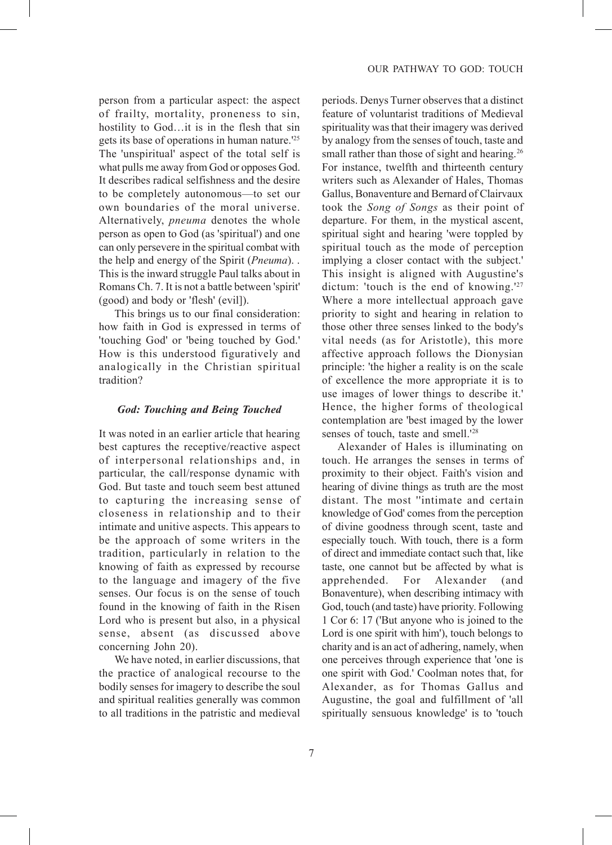person from a particular aspect: the aspect of frailty, mortality, proneness to sin, hostility to God…it is in the flesh that sin gets its base of operations in human nature.'25 The 'unspiritual' aspect of the total self is what pulls me away from God or opposes God. It describes radical selfishness and the desire to be completely autonomous—to set our own boundaries of the moral universe. Alternatively, *pneuma* denotes the whole person as open to God (as 'spiritual') and one can only persevere in the spiritual combat with the help and energy of the Spirit (*Pneuma*). . This is the inward struggle Paul talks about in Romans Ch. 7. It is not a battle between 'spirit' (good) and body or 'flesh' (evil]).

This brings us to our final consideration: how faith in God is expressed in terms of 'touching God' or 'being touched by God.' How is this understood figuratively and analogically in the Christian spiritual tradition?

#### *God: Touching and Being Touched*

It was noted in an earlier article that hearing best captures the receptive/reactive aspect of interpersonal relationships and, in particular, the call/response dynamic with God. But taste and touch seem best attuned to capturing the increasing sense of closeness in relationship and to their intimate and unitive aspects. This appears to be the approach of some writers in the tradition, particularly in relation to the knowing of faith as expressed by recourse to the language and imagery of the five senses. Our focus is on the sense of touch found in the knowing of faith in the Risen Lord who is present but also, in a physical sense, absent (as discussed above concerning John 20).

We have noted, in earlier discussions, that the practice of analogical recourse to the bodily senses for imagery to describe the soul and spiritual realities generally was common to all traditions in the patristic and medieval

periods. Denys Turner observes that a distinct feature of voluntarist traditions of Medieval spirituality was that their imagery was derived by analogy from the senses of touch, taste and small rather than those of sight and hearing.<sup>26</sup> For instance, twelfth and thirteenth century writers such as Alexander of Hales, Thomas Gallus, Bonaventure and Bernard of Clairvaux took the *Song of Songs* as their point of departure. For them, in the mystical ascent, spiritual sight and hearing 'were toppled by spiritual touch as the mode of perception implying a closer contact with the subject.' This insight is aligned with Augustine's dictum: 'touch is the end of knowing.'27 Where a more intellectual approach gave priority to sight and hearing in relation to those other three senses linked to the body's vital needs (as for Aristotle), this more affective approach follows the Dionysian principle: 'the higher a reality is on the scale of excellence the more appropriate it is to use images of lower things to describe it.' Hence, the higher forms of theological contemplation are 'best imaged by the lower senses of touch, taste and smell.'28

Alexander of Hales is illuminating on touch. He arranges the senses in terms of proximity to their object. Faith's vision and hearing of divine things as truth are the most distant. The most ''intimate and certain knowledge of God' comes from the perception of divine goodness through scent, taste and especially touch. With touch, there is a form of direct and immediate contact such that, like taste, one cannot but be affected by what is apprehended. For Alexander (and Bonaventure), when describing intimacy with God, touch (and taste) have priority. Following 1 Cor 6: 17 ('But anyone who is joined to the Lord is one spirit with him'), touch belongs to charity and is an act of adhering, namely, when one perceives through experience that 'one is one spirit with God.' Coolman notes that, for Alexander, as for Thomas Gallus and Augustine, the goal and fulfillment of 'all spiritually sensuous knowledge' is to 'touch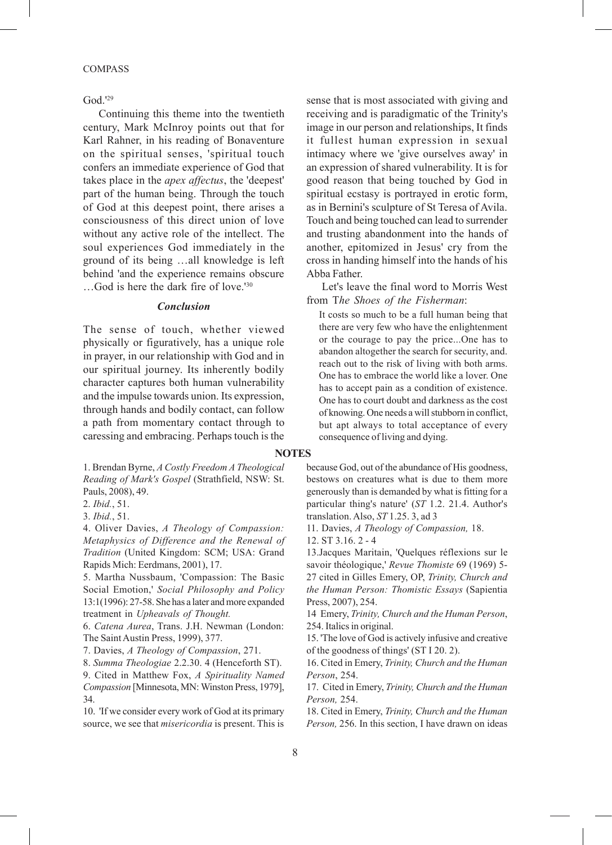#### **COMPASS**

God.'29

Continuing this theme into the twentieth century, Mark McInroy points out that for Karl Rahner, in his reading of Bonaventure on the spiritual senses, 'spiritual touch confers an immediate experience of God that takes place in the *apex affectus*, the 'deepest' part of the human being. Through the touch of God at this deepest point, there arises a consciousness of this direct union of love without any active role of the intellect. The soul experiences God immediately in the ground of its being …all knowledge is left behind 'and the experience remains obscure …God is here the dark fire of love.'30

#### *Conclusion*

The sense of touch, whether viewed physically or figuratively, has a unique role in prayer, in our relationship with God and in our spiritual journey. Its inherently bodily character captures both human vulnerability and the impulse towards union. Its expression, through hands and bodily contact, can follow a path from momentary contact through to caressing and embracing. Perhaps touch is the

1. Brendan Byrne, *A Costly Freedom A Theological Reading of Mark's Gospel* (Strathfield, NSW: St. Pauls, 2008), 49.

2. *Ibid.*, 51.

3. *Ibid.*, 51.

4. Oliver Davies, *A Theology of Compassion: Metaphysics of Difference and the Renewal of Tradition* (United Kingdom: SCM; USA: Grand Rapids Mich: Eerdmans, 2001), 17.

5. Martha Nussbaum, 'Compassion: The Basic Social Emotion,' *Social Philosophy and Policy* 13:1(1996): 27-58. She has a later and more expanded treatment in *Upheavals of Thought.*

6. *Catena Aurea*, Trans. J.H. Newman (London: The Saint Austin Press, 1999), 377.

7. Davies, *A Theology of Compassion*, 271.

8. *Summa Theologiae* 2.2.30. 4 (Henceforth ST). 9. Cited in Matthew Fox, *A Spirituality Named Compassion* [Minnesota, MN: Winston Press, 1979], 34.

10. 'If we consider every work of God at its primary source, we see that *misericordia* is present. This is

sense that is most associated with giving and receiving and is paradigmatic of the Trinity's image in our person and relationships, It finds it fullest human expression in sexual intimacy where we 'give ourselves away' in an expression of shared vulnerability. It is for good reason that being touched by God in spiritual ecstasy is portrayed in erotic form, as in Bernini's sculpture of St Teresa of Avila. Touch and being touched can lead to surrender and trusting abandonment into the hands of another, epitomized in Jesus' cry from the cross in handing himself into the hands of his Abba Father.

Let's leave the final word to Morris West from T*he Shoes of the Fisherman*:

It costs so much to be a full human being that there are very few who have the enlightenment or the courage to pay the price...One has to abandon altogether the search for security, and. reach out to the risk of living with both arms. One has to embrace the world like a lover. One has to accept pain as a condition of existence. One has to court doubt and darkness as the cost of knowing. One needs a will stubborn in conflict, but apt always to total acceptance of every consequence of living and dying.

#### **NOTES**

because God, out of the abundance of His goodness, bestows on creatures what is due to them more generously than is demanded by what is fitting for a particular thing's nature' (*ST* 1.2. 21.4. Author's translation. Also, *ST* 1.25. 3, ad 3

11. Davies, *A Theology of Compassion,* 18.

12. ST 3.16. 2 - 4

13.Jacques Maritain, 'Quelques réflexions sur le savoir théologique,' *Revue Thomiste* 69 (1969) 5- 27 cited in Gilles Emery, OP, *Trinity, Church and the Human Person: Thomistic Essays* (Sapientia Press, 2007), 254.

14 Emery, *Trinity, Church and the Human Person*, 254. Italics in original.

15. 'The love of God is actively infusive and creative of the goodness of things' (ST I 20. 2).

16. Cited in Emery, *Trinity, Church and the Human Person*, 254.

17. Cited in Emery, *Trinity, Church and the Human Person,* 254.

18. Cited in Emery, *Trinity, Church and the Human Person,* 256. In this section, I have drawn on ideas